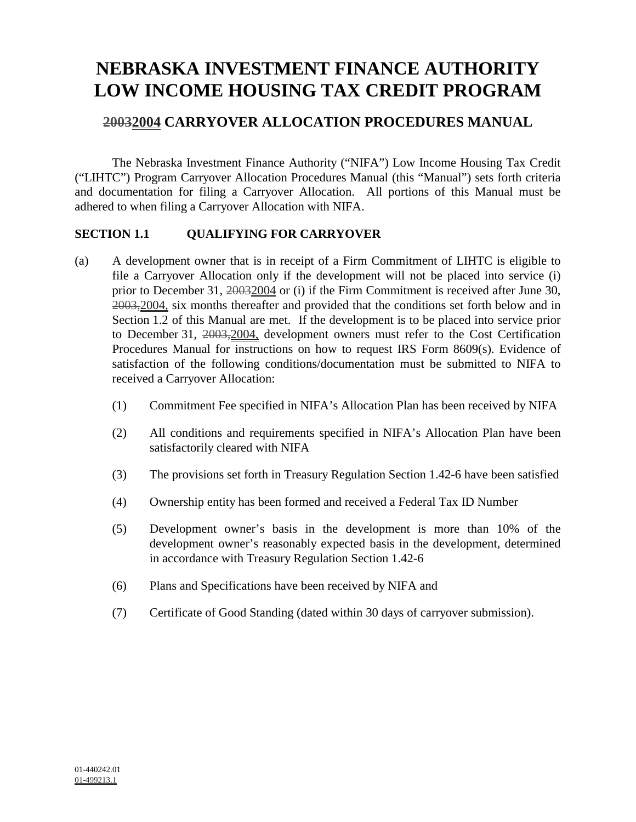# **NEBRASKA INVESTMENT FINANCE AUTHORITY LOW INCOME HOUSING TAX CREDIT PROGRAM**

# **20032004 CARRYOVER ALLOCATION PROCEDURES MANUAL**

The Nebraska Investment Finance Authority ("NIFA") Low Income Housing Tax Credit ("LIHTC") Program Carryover Allocation Procedures Manual (this "Manual") sets forth criteria and documentation for filing a Carryover Allocation. All portions of this Manual must be adhered to when filing a Carryover Allocation with NIFA.

# **SECTION 1.1 QUALIFYING FOR CARRYOVER**

- (a) A development owner that is in receipt of a Firm Commitment of LIHTC is eligible to file a Carryover Allocation only if the development will not be placed into service (i) prior to December 31, 20032004 or (i) if the Firm Commitment is received after June 30, 2003,2004, six months thereafter and provided that the conditions set forth below and in Section 1.2 of this Manual are met. If the development is to be placed into service prior to December 31, 2003,2004, development owners must refer to the Cost Certification Procedures Manual for instructions on how to request IRS Form 8609(s). Evidence of satisfaction of the following conditions/documentation must be submitted to NIFA to received a Carryover Allocation:
	- (1) Commitment Fee specified in NIFA's Allocation Plan has been received by NIFA
	- (2) All conditions and requirements specified in NIFA's Allocation Plan have been satisfactorily cleared with NIFA
	- (3) The provisions set forth in Treasury Regulation Section 1.42-6 have been satisfied
	- (4) Ownership entity has been formed and received a Federal Tax ID Number
	- (5) Development owner's basis in the development is more than 10% of the development owner's reasonably expected basis in the development, determined in accordance with Treasury Regulation Section 1.42-6
	- (6) Plans and Specifications have been received by NIFA and
	- (7) Certificate of Good Standing (dated within 30 days of carryover submission).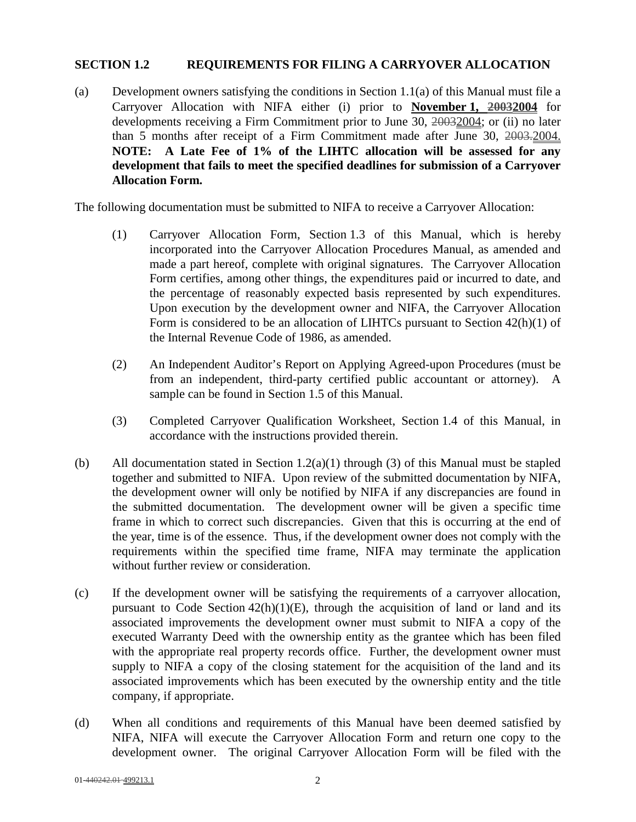## **SECTION 1.2 REQUIREMENTS FOR FILING A CARRYOVER ALLOCATION**

(a) Development owners satisfying the conditions in Section 1.1(a) of this Manual must file a Carryover Allocation with NIFA either (i) prior to **November 1, 20032004** for developments receiving a Firm Commitment prior to June 30, 20032004; or (ii) no later than 5 months after receipt of a Firm Commitment made after June 30, 2003.2004. **NOTE: A Late Fee of 1% of the LIHTC allocation will be assessed for any development that fails to meet the specified deadlines for submission of a Carryover Allocation Form.** 

The following documentation must be submitted to NIFA to receive a Carryover Allocation:

- (1) Carryover Allocation Form, Section 1.3 of this Manual, which is hereby incorporated into the Carryover Allocation Procedures Manual, as amended and made a part hereof, complete with original signatures. The Carryover Allocation Form certifies, among other things, the expenditures paid or incurred to date, and the percentage of reasonably expected basis represented by such expenditures. Upon execution by the development owner and NIFA, the Carryover Allocation Form is considered to be an allocation of LIHTCs pursuant to Section 42(h)(1) of the Internal Revenue Code of 1986, as amended.
- (2) An Independent Auditor's Report on Applying Agreed-upon Procedures (must be from an independent, third-party certified public accountant or attorney). A sample can be found in Section 1.5 of this Manual.
- (3) Completed Carryover Qualification Worksheet, Section 1.4 of this Manual, in accordance with the instructions provided therein.
- (b) All documentation stated in Section 1.2(a)(1) through (3) of this Manual must be stapled together and submitted to NIFA. Upon review of the submitted documentation by NIFA, the development owner will only be notified by NIFA if any discrepancies are found in the submitted documentation. The development owner will be given a specific time frame in which to correct such discrepancies. Given that this is occurring at the end of the year, time is of the essence. Thus, if the development owner does not comply with the requirements within the specified time frame, NIFA may terminate the application without further review or consideration.
- (c) If the development owner will be satisfying the requirements of a carryover allocation, pursuant to Code Section  $42(h)(1)(E)$ , through the acquisition of land or land and its associated improvements the development owner must submit to NIFA a copy of the executed Warranty Deed with the ownership entity as the grantee which has been filed with the appropriate real property records office. Further, the development owner must supply to NIFA a copy of the closing statement for the acquisition of the land and its associated improvements which has been executed by the ownership entity and the title company, if appropriate.
- (d) When all conditions and requirements of this Manual have been deemed satisfied by NIFA, NIFA will execute the Carryover Allocation Form and return one copy to the development owner. The original Carryover Allocation Form will be filed with the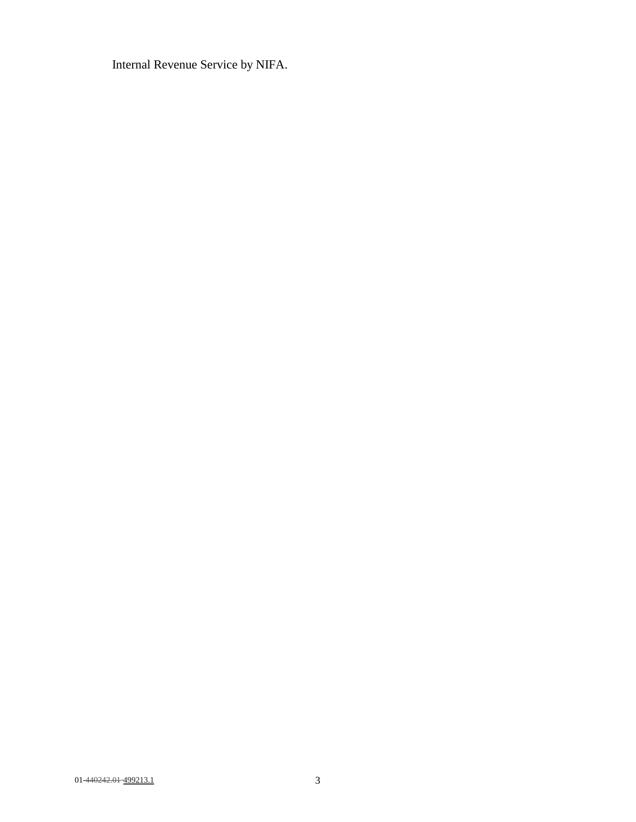Internal Revenue Service by NIFA.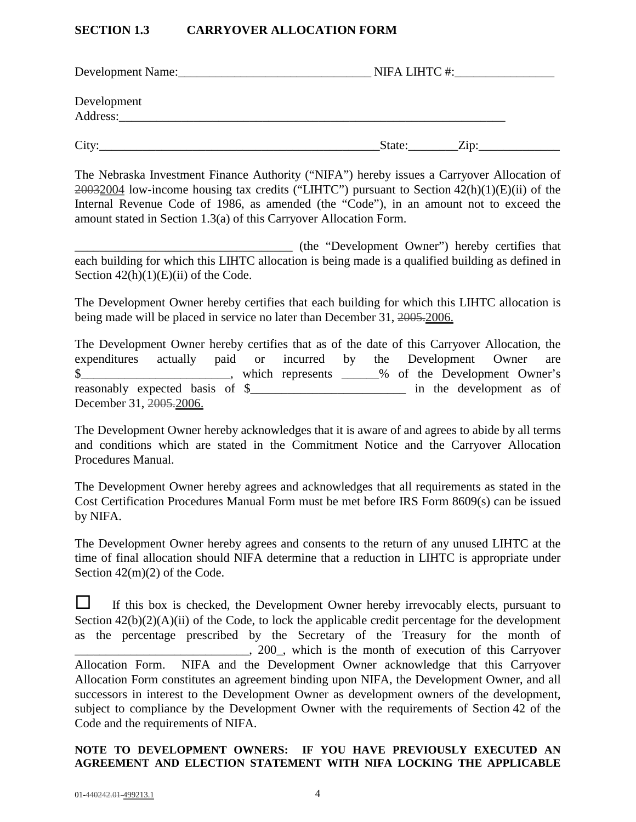## **SECTION 1.3 CARRYOVER ALLOCATION FORM**

| Development Name:       | NIFA LIHTC #:___       |
|-------------------------|------------------------|
| Development<br>Address: |                        |
| City:                   | State:<br>$\angle$ ip: |

The Nebraska Investment Finance Authority ("NIFA") hereby issues a Carryover Allocation of 20032004 low-income housing tax credits ("LIHTC") pursuant to Section 42(h)(1)(E)(ii) of the Internal Revenue Code of 1986, as amended (the "Code"), in an amount not to exceed the amount stated in Section 1.3(a) of this Carryover Allocation Form.

\_\_\_\_\_\_\_\_\_\_\_\_\_\_\_\_\_\_\_\_\_\_\_\_\_\_\_\_\_\_\_\_\_\_\_ (the "Development Owner") hereby certifies that each building for which this LIHTC allocation is being made is a qualified building as defined in Section  $42(h)(1)(E)(ii)$  of the Code.

The Development Owner hereby certifies that each building for which this LIHTC allocation is being made will be placed in service no later than December 31, 2005-2006.

The Development Owner hereby certifies that as of the date of this Carryover Allocation, the expenditures actually paid or incurred by the Development Owner are \$<br>Note that the Development Owner's which represents <u>with the Development</u> Owner's reasonably expected basis of \$ December 31, 2005.2006.

The Development Owner hereby acknowledges that it is aware of and agrees to abide by all terms and conditions which are stated in the Commitment Notice and the Carryover Allocation Procedures Manual.

The Development Owner hereby agrees and acknowledges that all requirements as stated in the Cost Certification Procedures Manual Form must be met before IRS Form 8609(s) can be issued by NIFA.

The Development Owner hereby agrees and consents to the return of any unused LIHTC at the time of final allocation should NIFA determine that a reduction in LIHTC is appropriate under Section 42(m)(2) of the Code.

 $\Box$  If this box is checked, the Development Owner hereby irrevocably elects, pursuant to Section  $42(b)(2)(A)(ii)$  of the Code, to lock the applicable credit percentage for the development as the percentage prescribed by the Secretary of the Treasury for the month of \_\_\_\_\_\_\_\_\_\_\_\_\_\_\_\_\_\_\_\_\_\_\_\_\_\_\_\_, 200\_, which is the month of execution of this Carryover Allocation Form. NIFA and the Development Owner acknowledge that this Carryover Allocation Form constitutes an agreement binding upon NIFA, the Development Owner, and all successors in interest to the Development Owner as development owners of the development, subject to compliance by the Development Owner with the requirements of Section 42 of the Code and the requirements of NIFA.

# **NOTE TO DEVELOPMENT OWNERS: IF YOU HAVE PREVIOUSLY EXECUTED AN AGREEMENT AND ELECTION STATEMENT WITH NIFA LOCKING THE APPLICABLE**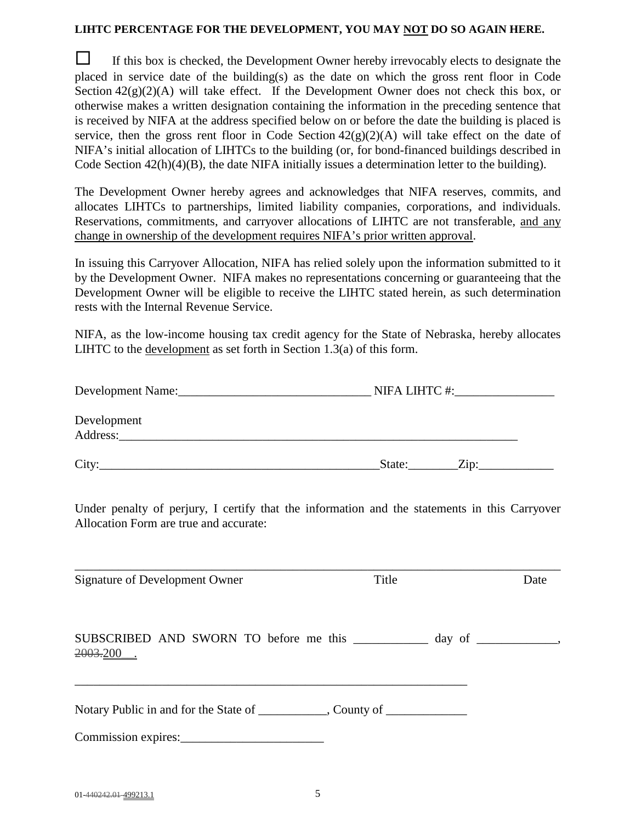#### **LIHTC PERCENTAGE FOR THE DEVELOPMENT, YOU MAY NOT DO SO AGAIN HERE.**

 $\Box$  If this box is checked, the Development Owner hereby irrevocably elects to designate the placed in service date of the building(s) as the date on which the gross rent floor in Code Section  $42(g)(2)(A)$  will take effect. If the Development Owner does not check this box, or otherwise makes a written designation containing the information in the preceding sentence that is received by NIFA at the address specified below on or before the date the building is placed is service, then the gross rent floor in Code Section  $42(g)(2)(A)$  will take effect on the date of NIFA's initial allocation of LIHTCs to the building (or, for bond-financed buildings described in Code Section  $42(h)(4)(B)$ , the date NIFA initially issues a determination letter to the building).

The Development Owner hereby agrees and acknowledges that NIFA reserves, commits, and allocates LIHTCs to partnerships, limited liability companies, corporations, and individuals. Reservations, commitments, and carryover allocations of LIHTC are not transferable, and any change in ownership of the development requires NIFA's prior written approval.

In issuing this Carryover Allocation, NIFA has relied solely upon the information submitted to it by the Development Owner. NIFA makes no representations concerning or guaranteeing that the Development Owner will be eligible to receive the LIHTC stated herein, as such determination rests with the Internal Revenue Service.

NIFA, as the low-income housing tax credit agency for the State of Nebraska, hereby allocates LIHTC to the development as set forth in Section 1.3(a) of this form.

| Development Name:       | NIFA LIHTC #:          |
|-------------------------|------------------------|
| Development<br>Address: |                        |
| City:                   | State:<br>$\angle$ ip: |

Under penalty of perjury, I certify that the information and the statements in this Carryover Allocation Form are true and accurate:

\_\_\_\_\_\_\_\_\_\_\_\_\_\_\_\_\_\_\_\_\_\_\_\_\_\_\_\_\_\_\_\_\_\_\_\_\_\_\_\_\_\_\_\_\_\_\_\_\_\_\_\_\_\_\_\_\_\_\_\_\_\_\_\_\_\_\_\_\_\_\_\_\_\_\_\_\_\_

| Signature of Development Owner                                                                           | Title | Date |
|----------------------------------------------------------------------------------------------------------|-------|------|
| SUBSCRIBED AND SWORN TO before me this ____________ day of ___________,<br>2003.200                      |       |      |
| Notary Public in and for the State of ___________, County of ____________________<br>Commission expires: |       |      |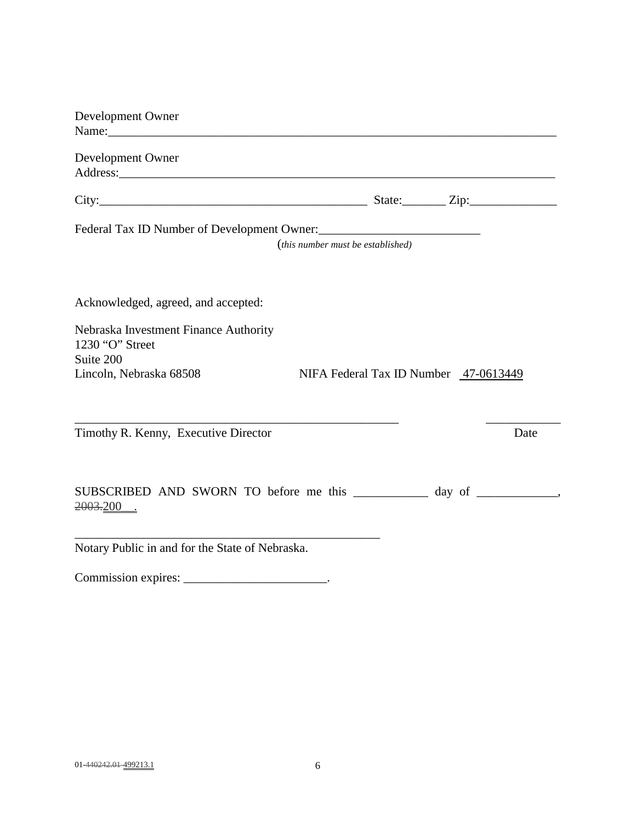| Development Owner                                                     |                                                                                                                                                                                                                                                                                                                       |
|-----------------------------------------------------------------------|-----------------------------------------------------------------------------------------------------------------------------------------------------------------------------------------------------------------------------------------------------------------------------------------------------------------------|
|                                                                       |                                                                                                                                                                                                                                                                                                                       |
| Development Owner                                                     |                                                                                                                                                                                                                                                                                                                       |
|                                                                       | City: $\frac{1}{2}$ $\frac{1}{2}$ $\frac{1}{2}$ $\frac{1}{2}$ $\frac{1}{2}$ $\frac{1}{2}$ $\frac{1}{2}$ $\frac{1}{2}$ $\frac{1}{2}$ $\frac{1}{2}$ $\frac{1}{2}$ $\frac{1}{2}$ $\frac{1}{2}$ $\frac{1}{2}$ $\frac{1}{2}$ $\frac{1}{2}$ $\frac{1}{2}$ $\frac{1}{2}$ $\frac{1}{2}$ $\frac{1}{2}$ $\frac{1}{2}$ $\frac{1$ |
|                                                                       | Federal Tax ID Number of Development Owner:                                                                                                                                                                                                                                                                           |
|                                                                       | (this number must be established)                                                                                                                                                                                                                                                                                     |
| Acknowledged, agreed, and accepted:                                   |                                                                                                                                                                                                                                                                                                                       |
| Nebraska Investment Finance Authority<br>1230 "O" Street<br>Suite 200 |                                                                                                                                                                                                                                                                                                                       |
| Lincoln, Nebraska 68508                                               | NIFA Federal Tax ID Number 47-0613449                                                                                                                                                                                                                                                                                 |
| Timothy R. Kenny, Executive Director                                  | Date                                                                                                                                                                                                                                                                                                                  |
| 2003.200.                                                             | SUBSCRIBED AND SWORN TO before me this __________ day of ___________,                                                                                                                                                                                                                                                 |
| Notary Public in and for the State of Nebraska.                       |                                                                                                                                                                                                                                                                                                                       |

Commission expires: \_\_\_\_\_\_\_\_\_\_\_\_\_\_\_\_\_\_\_\_\_\_\_.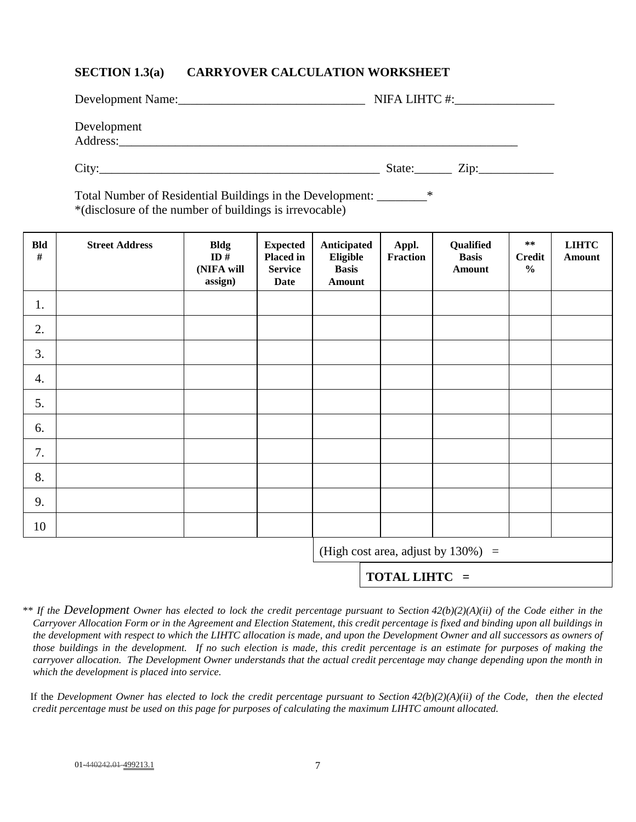# **SECTION 1.3(a) CARRYOVER CALCULATION WORKSHEET**

| Development Name:<br><u> 1980 - Jan Barbara, martin a shekara 1980 - An tsa a tsa a tsa a tsa a tsa a tsa a tsa a tsa a tsa a tsa a t</u> | NIFA LIHTC #:                        |
|-------------------------------------------------------------------------------------------------------------------------------------------|--------------------------------------|
| Development<br>Address:                                                                                                                   |                                      |
| City:                                                                                                                                     | State:<br>$\overline{\mathrm{Zip:}}$ |

Total Number of Residential Buildings in the Development: \_\_\_\_\_\_\_\_\* \*(disclosure of the number of buildings is irrevocable)

| <b>Bld</b><br>$\#$ | <b>Street Address</b> | <b>Bldg</b><br>ID#<br>(NIFA will<br>assign) | <b>Expected</b><br><b>Placed in</b><br><b>Service</b><br>Date | Anticipated<br>Eligible<br><b>Basis</b><br><b>Amount</b> | Appl.<br>Fraction | Qualified<br><b>Basis</b><br><b>Amount</b> | $***$<br><b>Credit</b><br>$\frac{0}{0}$ | <b>LIHTC</b><br>Amount |
|--------------------|-----------------------|---------------------------------------------|---------------------------------------------------------------|----------------------------------------------------------|-------------------|--------------------------------------------|-----------------------------------------|------------------------|
| 1.                 |                       |                                             |                                                               |                                                          |                   |                                            |                                         |                        |
| 2.                 |                       |                                             |                                                               |                                                          |                   |                                            |                                         |                        |
| 3.                 |                       |                                             |                                                               |                                                          |                   |                                            |                                         |                        |
| $\boldsymbol{4}$ . |                       |                                             |                                                               |                                                          |                   |                                            |                                         |                        |
| 5.                 |                       |                                             |                                                               |                                                          |                   |                                            |                                         |                        |
| 6.                 |                       |                                             |                                                               |                                                          |                   |                                            |                                         |                        |
| 7.                 |                       |                                             |                                                               |                                                          |                   |                                            |                                         |                        |
| 8.                 |                       |                                             |                                                               |                                                          |                   |                                            |                                         |                        |
| 9.                 |                       |                                             |                                                               |                                                          |                   |                                            |                                         |                        |
| 10                 |                       |                                             |                                                               |                                                          |                   |                                            |                                         |                        |
|                    |                       |                                             |                                                               |                                                          |                   | (High cost area, adjust by $130\%$ ) =     |                                         |                        |
|                    |                       |                                             |                                                               |                                                          | TOTAL LIHTC =     |                                            |                                         |                        |

*\*\* If the Development Owner has elected to lock the credit percentage pursuant to Section 42(b)(2)(A)(ii) of the Code either in the Carryover Allocation Form or in the Agreement and Election Statement, this credit percentage is fixed and binding upon all buildings in the development with respect to which the LIHTC allocation is made, and upon the Development Owner and all successors as owners of those buildings in the development. If no such election is made, this credit percentage is an estimate for purposes of making the carryover allocation. The Development Owner understands that the actual credit percentage may change depending upon the month in which the development is placed into service.*

 If the *Development Owner has elected to lock the credit percentage pursuant to Section 42(b)(2)(A)(ii) of the Code, then the elected credit percentage must be used on this page for purposes of calculating the maximum LIHTC amount allocated.*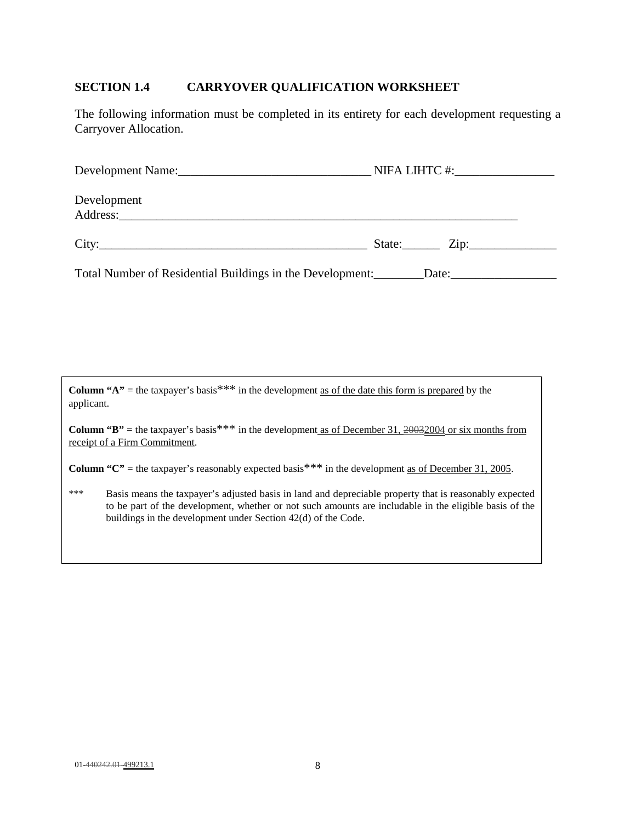# **SECTION 1.4 CARRYOVER QUALIFICATION WORKSHEET**

The following information must be completed in its entirety for each development requesting a Carryover Allocation.

| Development                                               |             |
|-----------------------------------------------------------|-------------|
|                                                           | State: Zip: |
| Total Number of Residential Buildings in the Development: | Date:       |

**Column "A"** = the taxpayer's basis<sup>\*\*\*</sup> in the development <u>as of the date this form is prepared</u> by the applicant.

**Column "B"** = the taxpayer's basis<sup>\*\*\*</sup> in the development as of December 31, 20032004 or six months from receipt of a Firm Commitment.

**Column "C"** = the taxpayer's reasonably expected basis<sup>\*\*\*</sup> in the development as of December 31, 2005.

\*\*\* Basis means the taxpayer's adjusted basis in land and depreciable property that is reasonably expected to be part of the development, whether or not such amounts are includable in the eligible basis of the buildings in the development under Section 42(d) of the Code.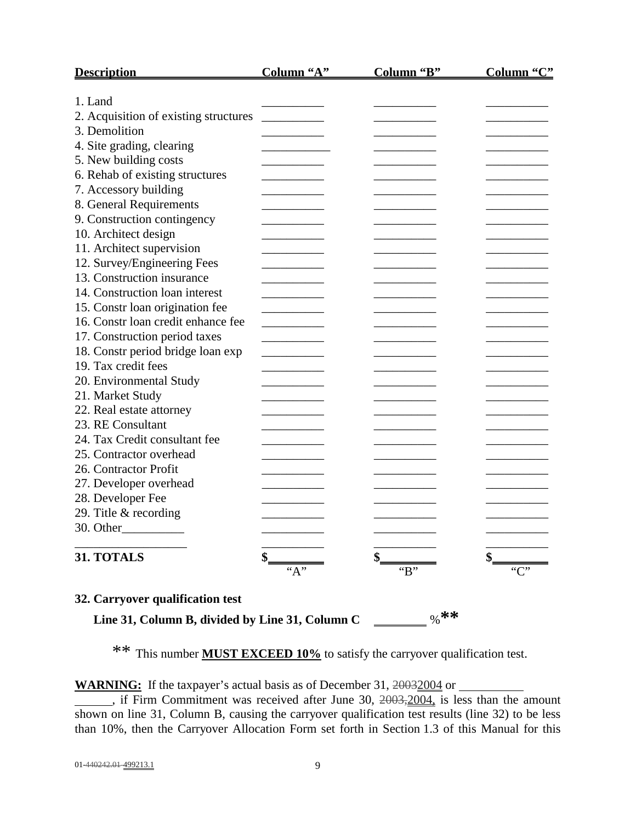| <b>Description</b>                    | Column "A" | Column "B"                        | Column "C"                        |
|---------------------------------------|------------|-----------------------------------|-----------------------------------|
| 1. Land                               |            |                                   |                                   |
| 2. Acquisition of existing structures |            |                                   |                                   |
| 3. Demolition                         |            |                                   |                                   |
| 4. Site grading, clearing             |            |                                   |                                   |
| 5. New building costs                 |            |                                   |                                   |
| 6. Rehab of existing structures       |            |                                   |                                   |
| 7. Accessory building                 |            |                                   |                                   |
|                                       |            |                                   |                                   |
| 8. General Requirements               |            |                                   |                                   |
| 9. Construction contingency           |            |                                   |                                   |
| 10. Architect design                  |            |                                   |                                   |
| 11. Architect supervision             |            |                                   |                                   |
| 12. Survey/Engineering Fees           |            |                                   |                                   |
| 13. Construction insurance            |            |                                   |                                   |
| 14. Construction loan interest        |            |                                   |                                   |
| 15. Constr loan origination fee       |            |                                   |                                   |
| 16. Constr loan credit enhance fee    |            |                                   |                                   |
| 17. Construction period taxes         |            |                                   |                                   |
| 18. Constr period bridge loan exp     |            |                                   |                                   |
| 19. Tax credit fees                   |            |                                   |                                   |
| 20. Environmental Study               |            |                                   |                                   |
| 21. Market Study                      |            |                                   |                                   |
| 22. Real estate attorney              |            |                                   |                                   |
| 23. RE Consultant                     |            |                                   |                                   |
| 24. Tax Credit consultant fee         |            |                                   |                                   |
| 25. Contractor overhead               |            |                                   |                                   |
| 26. Contractor Profit                 |            |                                   |                                   |
| 27. Developer overhead                |            |                                   |                                   |
| 28. Developer Fee                     |            |                                   |                                   |
| 29. Title & recording                 |            |                                   |                                   |
|                                       |            | the control of the control of the | the control of the control of the |
| 31. TOTALS                            |            |                                   |                                   |
| 32. Carryover qualification test      | ``A"       | B                                 | C                                 |

 **Line 31, Column B, divided by Line 31, Column C** %**\*\*** 

\*\* This number **MUST EXCEED 10%** to satisfy the carryover qualification test.

**WARNING:** If the taxpayer's actual basis as of December 31, 20032004 or

 $\overline{\phantom{a}}$ , if Firm Commitment was received after June 30,  $2003, 2004$ , is less than the amount shown on line 31, Column B, causing the carryover qualification test results (line 32) to be less than 10%, then the Carryover Allocation Form set forth in Section 1.3 of this Manual for this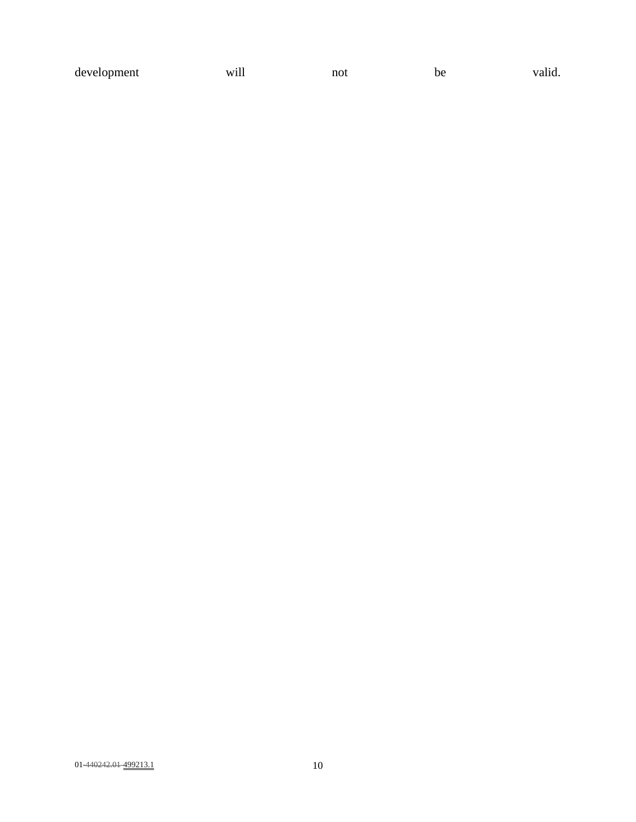| development<br>will<br>not<br>be<br>__ | valid. |
|----------------------------------------|--------|
|----------------------------------------|--------|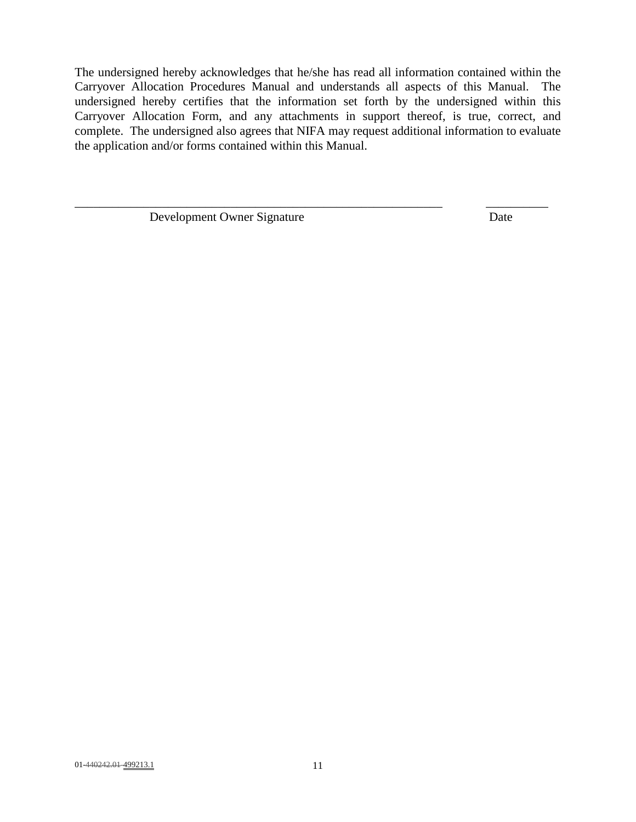The undersigned hereby acknowledges that he/she has read all information contained within the Carryover Allocation Procedures Manual and understands all aspects of this Manual. The undersigned hereby certifies that the information set forth by the undersigned within this Carryover Allocation Form, and any attachments in support thereof, is true, correct, and complete. The undersigned also agrees that NIFA may request additional information to evaluate the application and/or forms contained within this Manual.

\_\_\_\_\_\_\_\_\_\_\_\_\_\_\_\_\_\_\_\_\_\_\_\_\_\_\_\_\_\_\_\_\_\_\_\_\_\_\_\_\_\_\_\_\_\_\_\_\_\_\_\_\_\_\_\_\_\_\_ \_\_\_\_\_\_\_\_\_\_

Development Owner Signature Date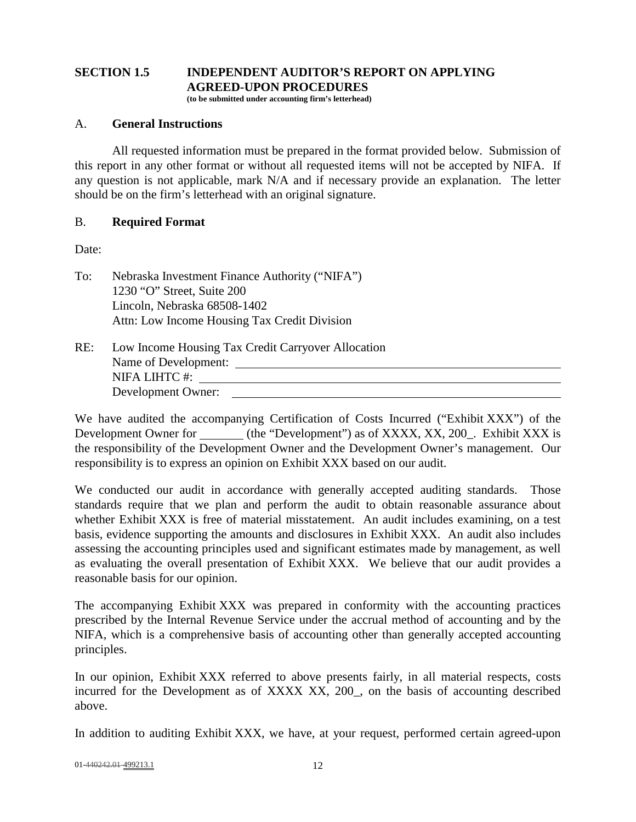# **SECTION 1.5 INDEPENDENT AUDITOR'S REPORT ON APPLYING AGREED-UPON PROCEDURES**

**(to be submitted under accounting firm's letterhead)** 

## A. **General Instructions**

All requested information must be prepared in the format provided below. Submission of this report in any other format or without all requested items will not be accepted by NIFA. If any question is not applicable, mark N/A and if necessary provide an explanation. The letter should be on the firm's letterhead with an original signature.

# B. **Required Format**

Date:

To: Nebraska Investment Finance Authority ("NIFA") 1230 "O" Street, Suite 200 Lincoln, Nebraska 68508-1402 Attn: Low Income Housing Tax Credit Division

| RE: | Low Income Housing Tax Credit Carryover Allocation |
|-----|----------------------------------------------------|
|     | Name of Development:                               |
|     | NIFA LIHTC #:                                      |
|     | Development Owner:                                 |
|     |                                                    |

We have audited the accompanying Certification of Costs Incurred ("Exhibit XXX") of the Development Owner for (the "Development") as of XXXX, XX, 200<sub>\_</sub>. Exhibit XXX is the responsibility of the Development Owner and the Development Owner's management. Our responsibility is to express an opinion on Exhibit XXX based on our audit.

We conducted our audit in accordance with generally accepted auditing standards. Those standards require that we plan and perform the audit to obtain reasonable assurance about whether Exhibit XXX is free of material misstatement. An audit includes examining, on a test basis, evidence supporting the amounts and disclosures in Exhibit XXX. An audit also includes assessing the accounting principles used and significant estimates made by management, as well as evaluating the overall presentation of Exhibit XXX. We believe that our audit provides a reasonable basis for our opinion.

The accompanying Exhibit XXX was prepared in conformity with the accounting practices prescribed by the Internal Revenue Service under the accrual method of accounting and by the NIFA, which is a comprehensive basis of accounting other than generally accepted accounting principles.

In our opinion, Exhibit XXX referred to above presents fairly, in all material respects, costs incurred for the Development as of XXXX XX, 200, on the basis of accounting described above.

In addition to auditing Exhibit XXX, we have, at your request, performed certain agreed-upon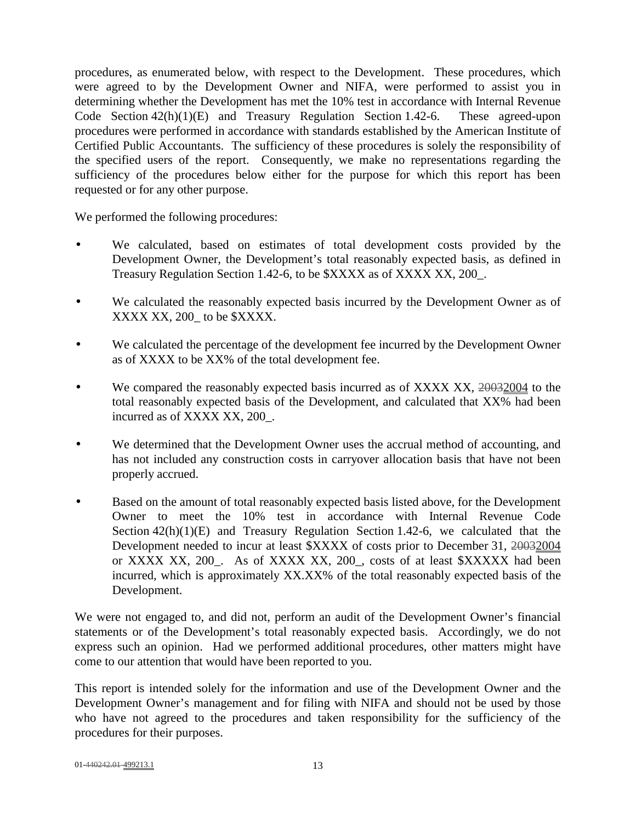procedures, as enumerated below, with respect to the Development. These procedures, which were agreed to by the Development Owner and NIFA, were performed to assist you in determining whether the Development has met the 10% test in accordance with Internal Revenue Code Section 42(h)(1)(E) and Treasury Regulation Section 1.42-6. These agreed-upon procedures were performed in accordance with standards established by the American Institute of Certified Public Accountants. The sufficiency of these procedures is solely the responsibility of the specified users of the report. Consequently, we make no representations regarding the sufficiency of the procedures below either for the purpose for which this report has been requested or for any other purpose.

We performed the following procedures:

- We calculated, based on estimates of total development costs provided by the Development Owner, the Development's total reasonably expected basis, as defined in Treasury Regulation Section 1.42-6, to be \$XXXX as of XXXX XX, 200\_.
- We calculated the reasonably expected basis incurred by the Development Owner as of XXXX XX, 200\_ to be \$XXXX.
- We calculated the percentage of the development fee incurred by the Development Owner as of XXXX to be XX% of the total development fee.
- We compared the reasonably expected basis incurred as of XXXX XX, 20032004 to the total reasonably expected basis of the Development, and calculated that XX% had been incurred as of XXXX XX, 200\_.
- We determined that the Development Owner uses the accrual method of accounting, and has not included any construction costs in carryover allocation basis that have not been properly accrued.
- Based on the amount of total reasonably expected basis listed above, for the Development Owner to meet the 10% test in accordance with Internal Revenue Code Section  $42(h)(1)(E)$  and Treasury Regulation Section 1.42-6, we calculated that the Development needed to incur at least \$XXXX of costs prior to December 31, 20032004 or XXXX XX, 200. As of XXXX XX, 200, costs of at least \$XXXXX had been incurred, which is approximately XX.XX% of the total reasonably expected basis of the Development.

We were not engaged to, and did not, perform an audit of the Development Owner's financial statements or of the Development's total reasonably expected basis. Accordingly, we do not express such an opinion. Had we performed additional procedures, other matters might have come to our attention that would have been reported to you.

This report is intended solely for the information and use of the Development Owner and the Development Owner's management and for filing with NIFA and should not be used by those who have not agreed to the procedures and taken responsibility for the sufficiency of the procedures for their purposes.

```
01-440242.01-499213.1 13
```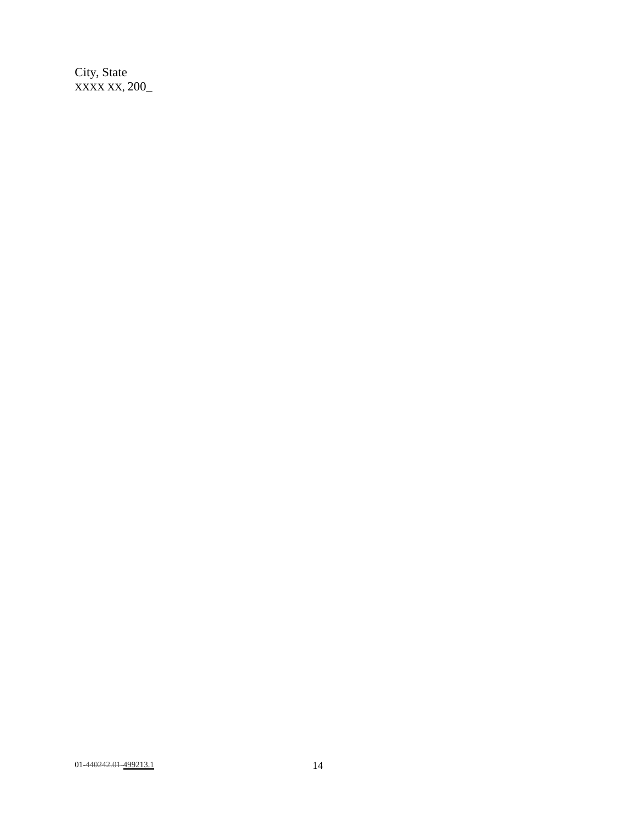City, State XXXX XX, 200\_